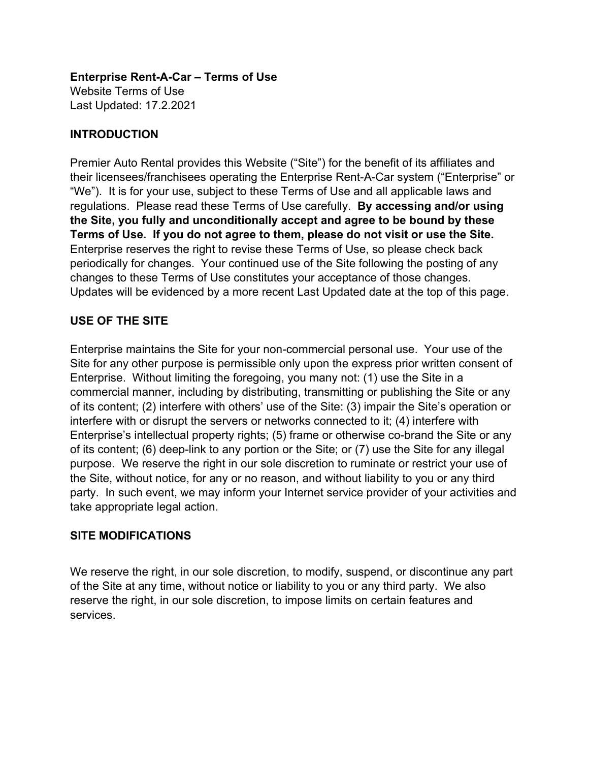**Enterprise Rent-A-Car – Terms of Use** Website Terms of Use Last Updated: 17.2.2021

# **INTRODUCTION**

Premier Auto Rental provides this Website ("Site") for the benefit of its affiliates and their licensees/franchisees operating the Enterprise Rent-A-Car system ("Enterprise" or "We"). It is for your use, subject to these Terms of Use and all applicable laws and regulations. Please read these Terms of Use carefully. **By accessing and/or using the Site, you fully and unconditionally accept and agree to be bound by these Terms of Use. If you do not agree to them, please do not visit or use the Site.** Enterprise reserves the right to revise these Terms of Use, so please check back periodically for changes. Your continued use of the Site following the posting of any changes to these Terms of Use constitutes your acceptance of those changes. Updates will be evidenced by a more recent Last Updated date at the top of this page.

# **USE OF THE SITE**

Enterprise maintains the Site for your non-commercial personal use. Your use of the Site for any other purpose is permissible only upon the express prior written consent of Enterprise. Without limiting the foregoing, you many not: (1) use the Site in a commercial manner, including by distributing, transmitting or publishing the Site or any of its content; (2) interfere with others' use of the Site: (3) impair the Site's operation or interfere with or disrupt the servers or networks connected to it; (4) interfere with Enterprise's intellectual property rights; (5) frame or otherwise co-brand the Site or any of its content; (6) deep-link to any portion or the Site; or (7) use the Site for any illegal purpose. We reserve the right in our sole discretion to ruminate or restrict your use of the Site, without notice, for any or no reason, and without liability to you or any third party. In such event, we may inform your Internet service provider of your activities and take appropriate legal action.

# **SITE MODIFICATIONS**

We reserve the right, in our sole discretion, to modify, suspend, or discontinue any part of the Site at any time, without notice or liability to you or any third party. We also reserve the right, in our sole discretion, to impose limits on certain features and services.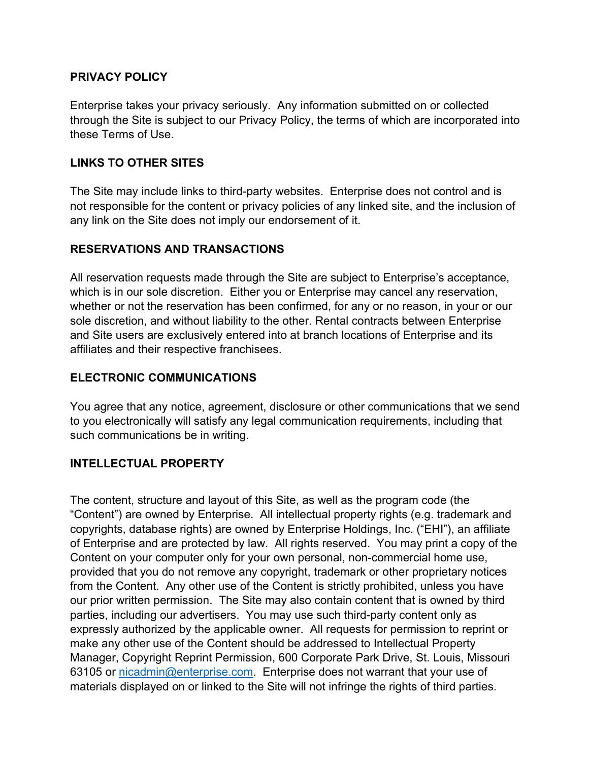## **PRIVACY POLICY**

Enterprise takes your privacy seriously. Any information submitted on or collected through the Site is subject to our Privacy Policy, the terms of which are incorporated into these Terms of Use.

## **LINKS TO OTHER SITES**

The Site may include links to third-party websites. Enterprise does not control and is not responsible for the content or privacy policies of any linked site, and the inclusion of any link on the Site does not imply our endorsement of it.

# **RESERVATIONS AND TRANSACTIONS**

All reservation requests made through the Site are subject to Enterprise's acceptance, which is in our sole discretion. Either you or Enterprise may cancel any reservation, whether or not the reservation has been confirmed, for any or no reason, in your or our sole discretion, and without liability to the other. Rental contracts between Enterprise and Site users are exclusively entered into at branch locations of Enterprise and its affiliates and their respective franchisees.

## **ELECTRONIC COMMUNICATIONS**

You agree that any notice, agreement, disclosure or other communications that we send to you electronically will satisfy any legal communication requirements, including that such communications be in writing.

#### **INTELLECTUAL PROPERTY**

The content, structure and layout of this Site, as well as the program code (the "Content") are owned by Enterprise. All intellectual property rights (e.g. trademark and copyrights, database rights) are owned by Enterprise Holdings, Inc. ("EHI"), an affiliate of Enterprise and are protected by law. All rights reserved. You may print a copy of the Content on your computer only for your own personal, non-commercial home use, provided that you do not remove any copyright, trademark or other proprietary notices from the Content. Any other use of the Content is strictly prohibited, unless you have our prior written permission. The Site may also contain content that is owned by third parties, including our advertisers. You may use such third-party content only as expressly authorized by the applicable owner. All requests for permission to reprint or make any other use of the Content should be addressed to Intellectual Property Manager, Copyright Reprint Permission, 600 Corporate Park Drive, St. Louis, Missouri 63105 or nicadmin@enterprise.com. Enterprise does not warrant that your use of materials displayed on or linked to the Site will not infringe the rights of third parties.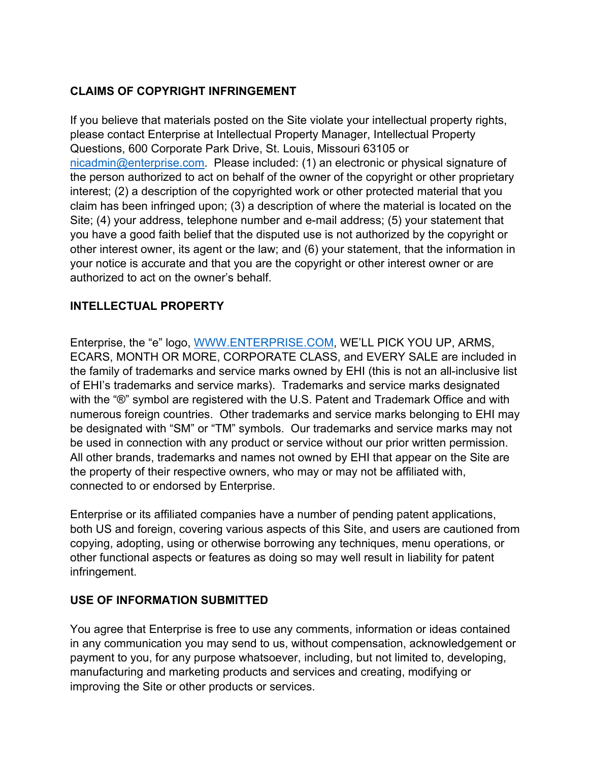# **CLAIMS OF COPYRIGHT INFRINGEMENT**

If you believe that materials posted on the Site violate your intellectual property rights, please contact Enterprise at Intellectual Property Manager, Intellectual Property Questions, 600 Corporate Park Drive, St. Louis, Missouri 63105 or nicadmin@enterprise.com. Please included: (1) an electronic or physical signature of the person authorized to act on behalf of the owner of the copyright or other proprietary interest; (2) a description of the copyrighted work or other protected material that you claim has been infringed upon; (3) a description of where the material is located on the Site; (4) your address, telephone number and e-mail address; (5) your statement that you have a good faith belief that the disputed use is not authorized by the copyright or other interest owner, its agent or the law; and (6) your statement, that the information in your notice is accurate and that you are the copyright or other interest owner or are authorized to act on the owner's behalf.

# **INTELLECTUAL PROPERTY**

Enterprise, the "e" logo, WWW.ENTERPRISE.COM, WE'LL PICK YOU UP, ARMS, ECARS, MONTH OR MORE, CORPORATE CLASS, and EVERY SALE are included in the family of trademarks and service marks owned by EHI (this is not an all-inclusive list of EHI's trademarks and service marks). Trademarks and service marks designated with the "®" symbol are registered with the U.S. Patent and Trademark Office and with numerous foreign countries. Other trademarks and service marks belonging to EHI may be designated with "SM" or "TM" symbols. Our trademarks and service marks may not be used in connection with any product or service without our prior written permission. All other brands, trademarks and names not owned by EHI that appear on the Site are the property of their respective owners, who may or may not be affiliated with, connected to or endorsed by Enterprise.

Enterprise or its affiliated companies have a number of pending patent applications, both US and foreign, covering various aspects of this Site, and users are cautioned from copying, adopting, using or otherwise borrowing any techniques, menu operations, or other functional aspects or features as doing so may well result in liability for patent infringement.

# **USE OF INFORMATION SUBMITTED**

You agree that Enterprise is free to use any comments, information or ideas contained in any communication you may send to us, without compensation, acknowledgement or payment to you, for any purpose whatsoever, including, but not limited to, developing, manufacturing and marketing products and services and creating, modifying or improving the Site or other products or services.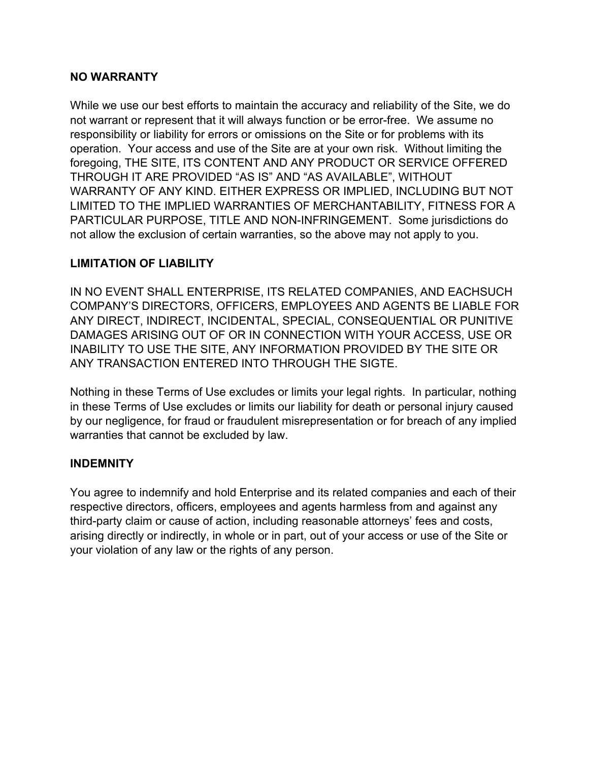### **NO WARRANTY**

While we use our best efforts to maintain the accuracy and reliability of the Site, we do not warrant or represent that it will always function or be error-free. We assume no responsibility or liability for errors or omissions on the Site or for problems with its operation. Your access and use of the Site are at your own risk. Without limiting the foregoing, THE SITE, ITS CONTENT AND ANY PRODUCT OR SERVICE OFFERED THROUGH IT ARE PROVIDED "AS IS" AND "AS AVAILABLE", WITHOUT WARRANTY OF ANY KIND. EITHER EXPRESS OR IMPLIED, INCLUDING BUT NOT LIMITED TO THE IMPLIED WARRANTIES OF MERCHANTABILITY, FITNESS FOR A PARTICULAR PURPOSE, TITLE AND NON-INFRINGEMENT. Some jurisdictions do not allow the exclusion of certain warranties, so the above may not apply to you.

### **LIMITATION OF LIABILITY**

IN NO EVENT SHALL ENTERPRISE, ITS RELATED COMPANIES, AND EACHSUCH COMPANY'S DIRECTORS, OFFICERS, EMPLOYEES AND AGENTS BE LIABLE FOR ANY DIRECT, INDIRECT, INCIDENTAL, SPECIAL, CONSEQUENTIAL OR PUNITIVE DAMAGES ARISING OUT OF OR IN CONNECTION WITH YOUR ACCESS, USE OR INABILITY TO USE THE SITE, ANY INFORMATION PROVIDED BY THE SITE OR ANY TRANSACTION ENTERED INTO THROUGH THE SIGTE.

Nothing in these Terms of Use excludes or limits your legal rights. In particular, nothing in these Terms of Use excludes or limits our liability for death or personal injury caused by our negligence, for fraud or fraudulent misrepresentation or for breach of any implied warranties that cannot be excluded by law.

#### **INDEMNITY**

You agree to indemnify and hold Enterprise and its related companies and each of their respective directors, officers, employees and agents harmless from and against any third-party claim or cause of action, including reasonable attorneys' fees and costs, arising directly or indirectly, in whole or in part, out of your access or use of the Site or your violation of any law or the rights of any person.